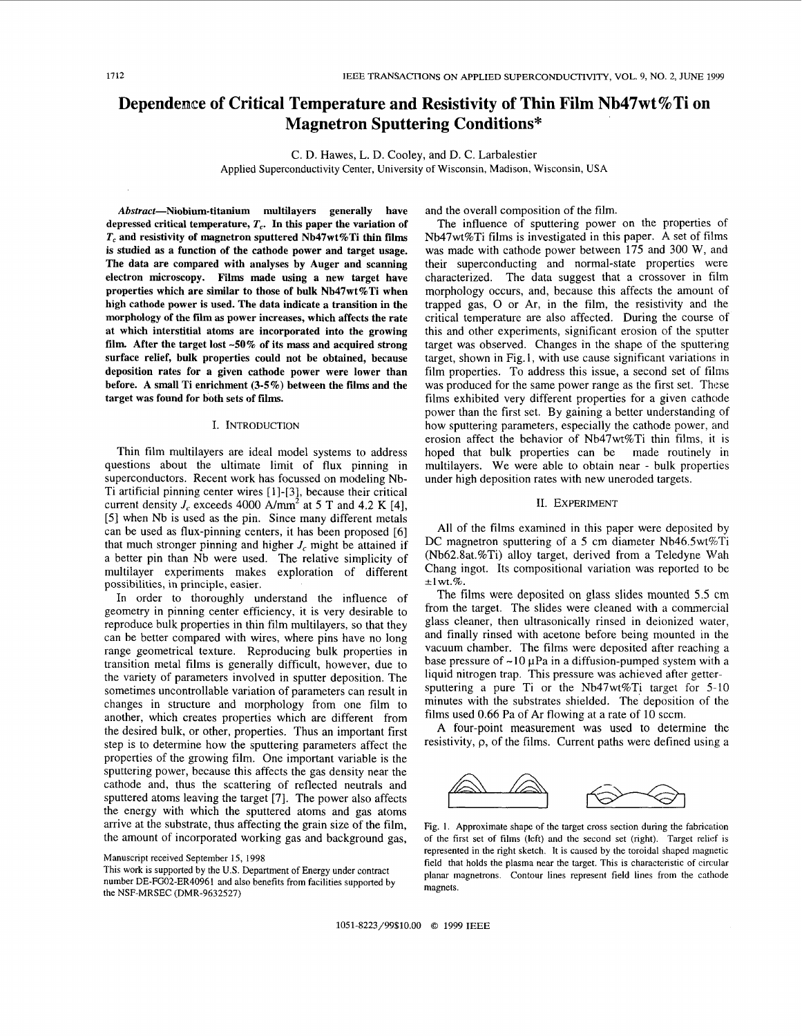# **Dependence of Critical Temperature and Resistivity of Thin Film Nb47wt %Ti on Magnetron Sputtering Conditions\***

C. D. Hawes, L. D. Cooley, and D. C. Larbalestier

Applied Superconductivity Center, University of Wisconsin, Madison, Wisconsin, USA

**Abstract-Niobium-titanium multilayers generally have**  depressed critical temperature,  $T_c$ . In this paper the variation of *T,* **and resistivity of magnetron sputtered Nb47wt%Ti thin films is studied as a function of the cathode power and target usage. The data are compared with analyses by Auger and scanning electron microscopy. Films made using a new target have properties which are similar to those of bulk Nb47wt%Ti when high cathode power is used. The data indicate a transition in the morphology of the film as power increases, which affects the rate at which interstitial atoms are incorporated into the growing film After the target lost -50% of its mass and acquired strong surface relief, bulk properties could not be obtained, because deposition rates for a given cathode power were lower than**  before. A small Ti enrichment (3-5%) between the films and the **target was found for both sets of films.** 

# I. INTRODUCTION

Thin film multilayers are ideal model systems to address questions about the ultimate limit of flux pinning in superconductors. Recent work has focussed on modeling Nb-Ti artificial pinning center wires [ 11-[3], because their critical current density  $J_c$  exceeds 4000 A/mm<sup>2</sup> at 5 T and 4.2 K [4], [5] when Nb is used as the pin. Since many different metals can be used as flux-pinning centers, it has been proposed [6] that much stronger pinning and higher  $J_c$  might be attained if a better pin than Nb were used. The relative simplicity of multilayer experiments makes exploration of different possibilities, in principle, easier.

In order to thoroughly understand the influence of geometry in pinning center efficiency, it is very desirable to reproduce bulk properties in thin film multilayers, so that they can be better compared with wires, where pins have no long range geometrical texture. Reproducing bulk properties in transition metal films is generally difficult, however, due to the variety of parameters involved in sputter deposition. The sometimes uncontrollable variation of parameters can result in changes in structure and morphology from one film to another, which creates properties which are different from the desired bulk, or other, properties. Thus an important first step is to determine how the sputtering parameters affect the properties of the growing film. One important variable is the sputtering power, because this affects the gas density near the cathode and, thus the scattering of reflected neutrals and sputtered atoms leaving the target [7]. The power also affects the energy with which the sputtered atoms and gas atoms arrive at the substrate, thus affecting the grain size of the film, the amount of incorporated working gas and background gas,

### Manuscript received September 15, 1998

This **work** is supported by the **U.S.** Department of Energy under contract number DE-FG02-ER40961 and also benefits from facilities supported by the NSF-MRSEC (DMR-9632527)

and the overall composition of the film.

The influence of sputtering power on the properties of Nb47wt%Ti films is investigated in this paper. **A** set of films was made with cathode power between 175 and 300 W, and their superconducting and normal-state properties were characterized. The data suggest that a crossover in film morphology occurs, and, because this affects the amount of trapped gas, 0 or Ar, in the film, the resistivity and the critical temperature are also affected. During the course of this and other experiments, significant erosion of the sputter target was observed. Changes in the shape of the sputtering target, shown in Fig. 1, with use cause significant variations in film properties. To address this issue, a second set of films was produced for the same power range as the first set. These films exhibited very different properties for a given cathode power than the first set. By gaining a better understanding of how sputtering parameters, especially the cathode power, and erosion affect the behavior of Nb47wt%Ti thin films, it is hoped that bulk properties can be made routinely in multilayers. We were able to obtain near - bulk properties under high deposition rates with new uneroded targets.

#### 11. EXPERIMENT

All of the films examined in this paper were deposited by DC magnetron sputtering of a 5 cm diameter  $Nb46.5wt\%$ Ti (Nb62.8at.%Ti) alloy target, derived from a Teledyne Wah Chang ingot. Its compositional variation was reported to be **\*lwt.%.** 

The films were deposited on glass slides mounted *5.5* cm from the target. The slides were cleaned with a commercial glass cleaner, then ultrasonically rinsed in deionized water, and finally rinsed with acetone before being mounted in the vacuum chamber. The films were deposited after reaching a base pressure of  $\sim$  10  $\mu$ Pa in a diffusion-pumped system with a liquid nitrogen trap. This pressure was achieved after gettersputtering a pure Ti or the Nb47wt%Ti target for 5-10 minutes with the substrates shielded. The deposition of the films used 0.66 Pa of Ar flowing at a rate of 10 sccm.

**A** four-point measurement was used to determine the resistivity, **p,** of the films. Current paths were defined using a



Fig. I. Approximate shape of the target cross section during the fabrication of the first set of films (left) and the second set (right). Target relief is represented in the right sketch. **It** is caused by the toroidal shaped magnetic field that holds the plasma near the target. This is characteristic of circular planar magnetrons. Contour lines represent field lines from the cathode magnets.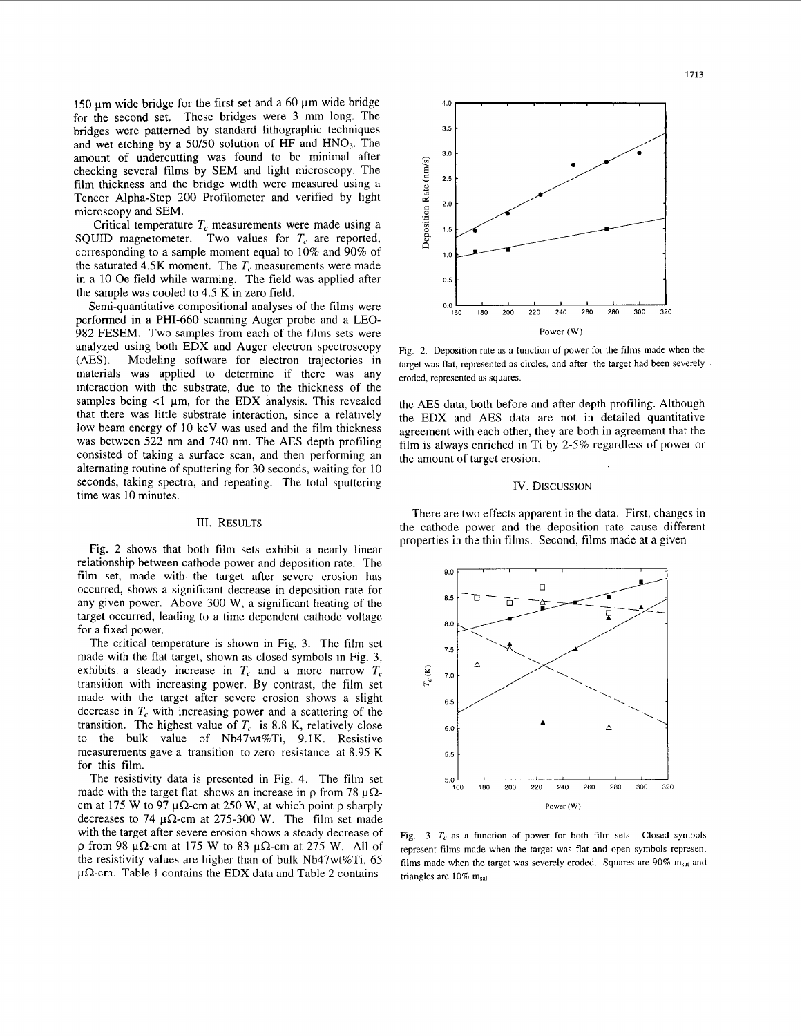150  $\mu$ m wide bridge for the first set and a 60  $\mu$ m wide bridge for the second set. These bridges were 3 mm long. The bridges were patterned by standard lithographic techniques and wet etching by a 50/50 solution of HF and HNO<sub>3</sub>. The amount of undercutting was found to be minimal after checking several films by SEM and light microscopy. The film thickness and the bridge width were measured using a Tencor Alpha-Step 200 Protilometer and verified by light microscopy and SEM.

Critical temperature *T,* measurements were made using a SQUID magnetometer. Two values for *T,* are reported, corresponding to a sample moment equal to 10% and 90% of the saturated 4.5K moment. The *T,* measurements were made in a 10 Oe field while warming. The field was applied after the sample was cooled to 4.5 K in zero field.

Semi-quantitative compositional analyses of the films were performed in a PHI-660 scanning Auger probe and a LEO-982 FESEM. Two samples from each of the films sets were analyzed using both EDX and Auger electron spectroscopy (AES). Modeling software for electron trajectories in materials was applied to determine if there was any interaction with the substrate, due to the thickness of the samples being  $<$ 1  $\mu$ m, for the EDX analysis. This revealed that there was little substrate interaction, since a relatively low beam energy of 10 keV was used and the film thickness was between 522 nm and 740 nm. The AES depth profiling consisted of taking a surface scan, and then performing an alternating routine of sputtering for 30 seconds, waiting for 10 seconds, taking spectra, and repeating. The total sputtering time was 10 minutes.

# 111. RESULTS

Fig. 2 shows that both film sets exhibit a nearly linear relationship between cathode power and deposition rate. The film set, made with the target after severe erosion has occurred, shows a significant decrease in deposition rate for any given power. Above 300 W, a significant heating of the target occurred, leading to a time dependent cathode voltage for a fixed power.

The critical temperature is shown in Fig. 3. The film set made with the flat target, shown as closed symbols in Fig. **3,**  exhibits a steady increase in  $T_c$  and a more narrow  $T_c$ transition with increasing power. By contrast, the film set made with the target after severe erosion shows a slight decrease in  $T_c$  with increasing power and a scattering of the transition. The highest value of  $T_c$  is 8.8 K, relatively close to the bulk value of Nb47wt%Ti, 9.1K. Resistive measurements gave a transition to zero resistance at 8.95 K for this film.

The resistivity data is presented in Fig. 4. The film set made with the target flat shows an increase in  $\rho$  from 78  $\mu\Omega$ cm at 175 W to 97  $\mu\Omega$ -cm at 250 W, at which point p sharply decreases to 74  $\mu\Omega$ -cm at 275-300 W. The film set made with the target after severe erosion shows a steady decrease of  $p$  from 98  $\mu\Omega$ -cm at 175 W to 83  $\mu\Omega$ -cm at 275 W. All of the resistivity values are higher than of bulk Nb47wt%Ti, 65  $\mu\Omega$ -cm. [Table 1](#page-2-0) contains the EDX data and [Table 2](#page-2-0) contains



Fig. 2. Deposition rate as a function of power for the films made when the target was flat, represented as circles, and after the target had been severely eroded, represented as squares.

the AES data, both before and after depth profiling. Although<br>the EDX and AES data are not in detailed quantitative<br>agreement with each other, they are both in agreement that the film is always enriched in Ti by 2-5% regardless of power or the amount of target erosion.

## IV. DISCUSSION

There are two effects apparent in the data. First, changes in the cathode power and the deposition rate cause different properties in the thin films. Second, films made at a given



Fig. 3.  $T_c$  as a function of power for both film sets. Closed symbols represent films made when the target was flat and open symbols represent films made when the target was severely eroded. Squares are  $90\%$  m<sub>sat</sub> and triangles are 10% m<sub>sat</sub>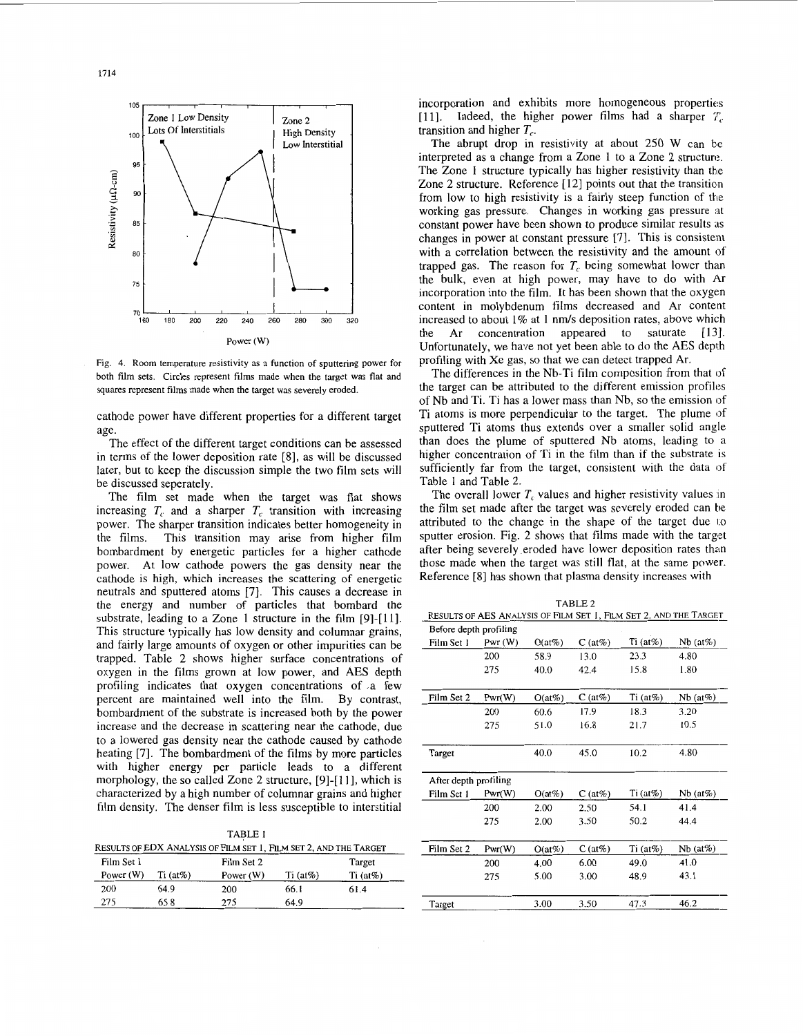<span id="page-2-0"></span>

Fig. 4. Room temperature resistivity as a function of sputtering power for both film sets. Circles represent films made when the target was flat and squares represent films made when the target was severely eroded.

cathode power have different properties for a different target age.

The effect of the different target conditions can be assessed in terms of the lower deposition rate [8], as will be discussed later, but to keep the discussion simple the two film sets will be discussed seperately.

The film set made when the target was flat shows increasing  $T_c$  and a sharper  $T_c$  transition with increasing power. The sharper transition indicates better homogeneity in the films. This transition may arise from higher film bombardment by energetic particles for a higher cathode power. At low cathode powers the gas density near the cathode is high, which increases the scattering of energetic neutrals and sputtered atoms [7]. This causes a decrease in the energy and number of particles that bombard the substrate, leading to a Zone 1 structure in the film [9]-[11]. This structure typically has low density and columnar grains, and fairly large amounts of oxygen or other impurities can be trapped. Table 2 shows higher surface concentrations of oxygen in the films grown at low power, and **AES** depth profiling indicates that oxygen concentrations of ,a few percent are maintained well into the film. By contrast, bombardment of the substrate is increased both by the power increase and the decrease in scattering near the cathode, due to a lowered gas density near the cathode caused by cathode heating [7]. The bombardment of the films by more particles with higher energy per particle leads to a different morphology, the so called Zone 2 structure, [9]-[11], which is characterized by a high number of columnar grains and higher film density. The denser film is less susceptible to interstitial

TABLE 1 RESULTS OF EDX ANALYSIS OF **FILM** SET 1, **FILM** SET 2, AND THE TARGET Film Set 1 Film Set 2 Target Power (W) Ti (at%) Power (W) Ti (at%) Ti (at%) 200 64.9 200 66.1 61.4

275 65.8 275 64.9

incorporation and exhibits more homogeneous properties [Ill. Indeed, the higher power films had a sharper *T,*  transition and higher *T,.* 

The abrupt drop in resistivity at about  $250 \text{ W}$  can be interpreted as a change from a Zone 1 to a Zone 2 structura. The Zone I structure typically has higher resistivity than the Zone 2 structure. Reference [12] points out that the transition from low to high resistivity is a fairly steep function of the working gas pressure. Changes in working gas pressure at constant power have been shown to produce similar results as changes in power at constant pressure [7]. This is consistent with a correlation between the resistivity and the amount of trapped gas. The reason for  $T<sub>c</sub>$  being somewhat lower than the bulk, even at high power, may have to do with Ar incorporation into the film. It has been shown that the oxygen content in molybdenum films decreased and Ar content increased to about  $1\%$  at 1 nm/s deposition rates, above which the Ar concentration appeared to saturate [13]. Unfortunately, we have not yet been able to do the AES deprh profiling with Xe gas, so that we can detect trapped **Ar.** 

The differences in the Nb-Ti film composition from that of the target can be attributed to the different emission profiles of Nb and Ti. Ti has a lower mass than Nb, so the emission of Ti atoms is more perpendicular to the target. The plume of sputtered Ti atoms thus extends over a smaller solid angle than does the plume of sputtered Nb atoms, leading to a higher concentration of Ti in the film than if the substrate is sufficiently far from the target, consistent with the data of Table **1** and Table 2.

The overall lower  $T_c$  values and higher resistivity values in the film set made after the target was severely eroded can be attributed to the change in the shape of the target due to sputter erosion. Fig. 2 shows that films made with the target after being severely eroded have lower deposition rates than those made when the target was still flat, at the same power. Reference [8] has shown that plasma density increases with

| TABLE 2<br>RESULTS OF AES ANALYSIS OF FILM SET 1, FILM SET 2, AND THE TARGET |        |           |           |             |            |  |  |  |  |  |
|------------------------------------------------------------------------------|--------|-----------|-----------|-------------|------------|--|--|--|--|--|
| Before depth profiling                                                       |        |           |           |             |            |  |  |  |  |  |
| Film Set 1                                                                   | Pwr(W) | $O(at\%)$ | C (at%)   | $Ti(at\%)$  | $Nb(at\%)$ |  |  |  |  |  |
|                                                                              | 200    | 58.9      | 13.0      | 23.3        | 4.80       |  |  |  |  |  |
|                                                                              | 275    | 40.0      | 42.4      | 15.8        | 1.80       |  |  |  |  |  |
| Film Set 2                                                                   | Pwr(W) | $O(at\%)$ | $C$ (at%) | $Ti (at\%)$ | $Nb(at\%)$ |  |  |  |  |  |
|                                                                              | 200    | 60.6      | 17.9      | 18.3        | 3.20       |  |  |  |  |  |
|                                                                              | 275    | 51.0      | 16.8      | 21.7        | 10.5       |  |  |  |  |  |

|                       | 275    | 51.0      | 16.8             | 21.7        | 10.5        |  |  |  |
|-----------------------|--------|-----------|------------------|-------------|-------------|--|--|--|
| Target                |        | 40.0      | 45.0             | 10.2        | 4.80        |  |  |  |
| After depth profiling |        |           |                  |             |             |  |  |  |
| Film Set 1            | Pwr(W) | $O(at\%)$ | $C(\text{at}\%)$ | $Ti (at\%)$ | $Nb(at\%)$  |  |  |  |
|                       | 200    | 2.00      | 2.50             | 54.1        | 41.4        |  |  |  |
|                       | 275    | 2.00      | 3.50             | 50.2        | 44.4        |  |  |  |
|                       |        |           |                  |             |             |  |  |  |
| Film Set 2            | Pwr(W) | $O(at\%)$ | $C$ (at%)        | $Ti(at\%)$  | $Nb (at\%)$ |  |  |  |
|                       | 200    | 4.00      | 6.00             | 49.0        | 41.0        |  |  |  |
|                       | 275    | 5.00      | 3.00             | 48.9        | 43.1        |  |  |  |
|                       |        |           |                  |             |             |  |  |  |
| Target                |        | 3.00      | 3.50             | 47.3        | 46.2        |  |  |  |